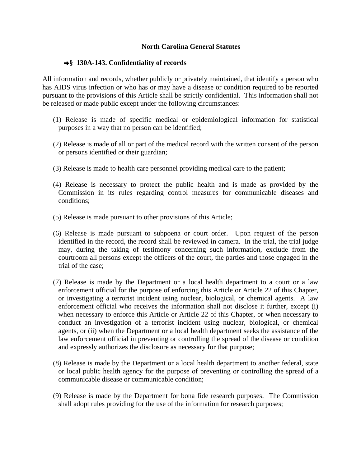## **North Carolina General Statutes**

## **§ 130A-143. Confidentiality of records**

All information and records, whether publicly or privately maintained, that identify a person who has AIDS virus infection or who has or may have a disease or condition required to be reported pursuant to the provisions of this Article shall be strictly confidential. This information shall not be released or made public except under the following circumstances:

- (1) Release is made of specific medical or epidemiological information for statistical purposes in a way that no person can be identified;
- (2) Release is made of all or part of the medical record with the written consent of the person or persons identified or their guardian;
- (3) Release is made to health care personnel providing medical care to the patient;
- (4) Release is necessary to protect the public health and is made as provided by the Commission in its rules regarding control measures for communicable diseases and conditions;
- (5) Release is made pursuant to other provisions of this Article;
- (6) Release is made pursuant to subpoena or court order. Upon request of the person identified in the record, the record shall be reviewed in camera. In the trial, the trial judge may, during the taking of testimony concerning such information, exclude from the courtroom all persons except the officers of the court, the parties and those engaged in the trial of the case;
- (7) Release is made by the Department or a local health department to a court or a law enforcement official for the purpose of enforcing this Article or Article 22 of this Chapter, or investigating a terrorist incident using nuclear, biological, or chemical agents. A law enforcement official who receives the information shall not disclose it further, except (i) when necessary to enforce this Article or Article 22 of this Chapter, or when necessary to conduct an investigation of a terrorist incident using nuclear, biological, or chemical agents, or (ii) when the Department or a local health department seeks the assistance of the law enforcement official in preventing or controlling the spread of the disease or condition and expressly authorizes the disclosure as necessary for that purpose;
- (8) Release is made by the Department or a local health department to another federal, state or local public health agency for the purpose of preventing or controlling the spread of a communicable disease or communicable condition;
- (9) Release is made by the Department for bona fide research purposes. The Commission shall adopt rules providing for the use of the information for research purposes;